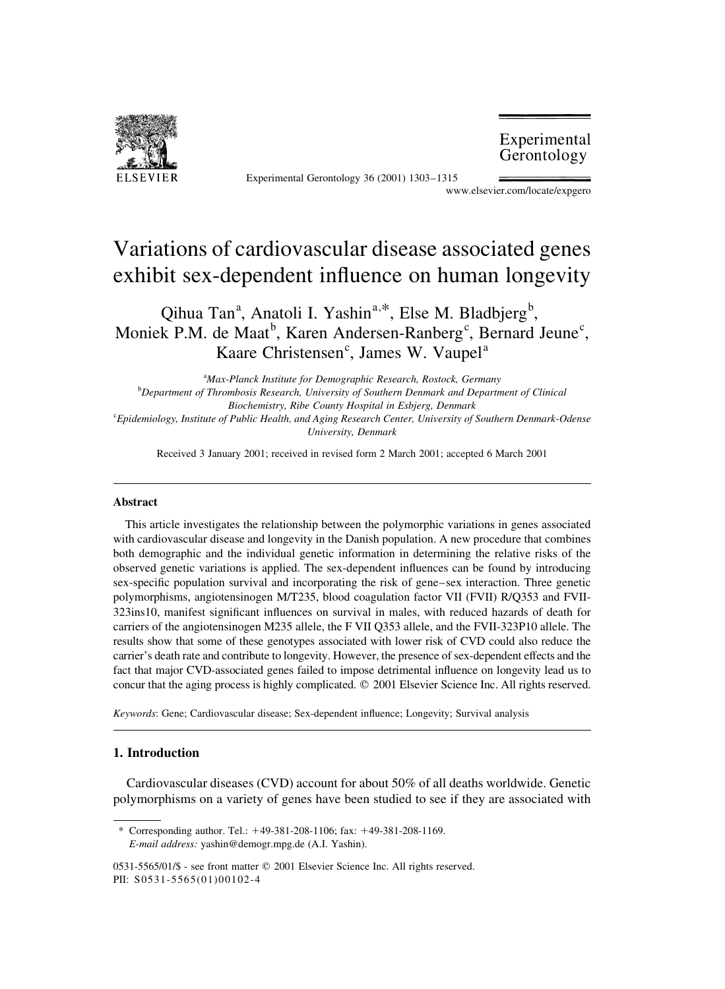

Experimental Gerontology 36 (2001) 1303-1315

Experimental Gerontology

www.elsevier.com/locate/expgero

# Variations of cardiovascular disease associated genes exhibit sex-dependent influence on human longevity

Qihua Tan<sup>a</sup>, Anatoli I. Yashin<sup>a,\*</sup>, Else M. Bladbjerg<sup>b</sup>, Moniek P.M. de Maat<sup>b</sup>, Karen Andersen-Ranberg<sup>c</sup>, Bernard Jeune<sup>c</sup>, Kaare Christensen<sup>c</sup>, James W. Vaupel<sup>a</sup>

<sup>a</sup>Max-Planck Institute for Demographic Research, Rostock, Germany <sup>b</sup>Department of Thrombosis Research, University of Southern Denmark and Department of Clinical Biochemistry, Ribe County Hospital in Esbjerg, Denmark  ${}^{\circ}$ Epidemiology, Institute of Public Health, and Aging Research Center, University of Southern Denmark-Odense University, Denmark

Received 3 January 2001; received in revised form 2 March 2001; accepted 6 March 2001

# **Abstract**

This article investigates the relationship between the polymorphic variations in genes associated with cardiovascular disease and longevity in the Danish population. A new procedure that combines both demographic and the individual genetic information in determining the relative risks of the observed genetic variations is applied. The sex-dependent influences can be found by introducing sex-specific population survival and incorporating the risk of gene-sex interaction. Three genetic polymorphisms, angiotensinogen M/T235, blood coagulation factor VII (FVII) R/Q353 and FVII-323ins10, manifest significant influences on survival in males, with reduced hazards of death for carriers of the angiotensinogen M235 allele, the F VII Q353 allele, and the FVII-323P10 allele. The results show that some of these genotypes associated with lower risk of CVD could also reduce the carrier's death rate and contribute to longevity. However, the presence of sex-dependent effects and the fact that major CVD-associated genes failed to impose detrimental influence on longevity lead us to concur that the aging process is highly complicated. © 2001 Elsevier Science Inc. All rights reserved.

Keywords: Gene; Cardiovascular disease; Sex-dependent influence; Longevity; Survival analysis

### 1. Introduction

Cardiovascular diseases (CVD) account for about 50% of all deaths worldwide. Genetic polymorphisms on a variety of genes have been studied to see if they are associated with

Corresponding author. Tel.: +49-381-208-1106; fax: +49-381-208-1169. E-mail address: yashin@demogr.mpg.de (A.I. Yashin).

<sup>0531-5565/01/\$ -</sup> see front matter © 2001 Elsevier Science Inc. All rights reserved. PII: S0531-5565(01)00102-4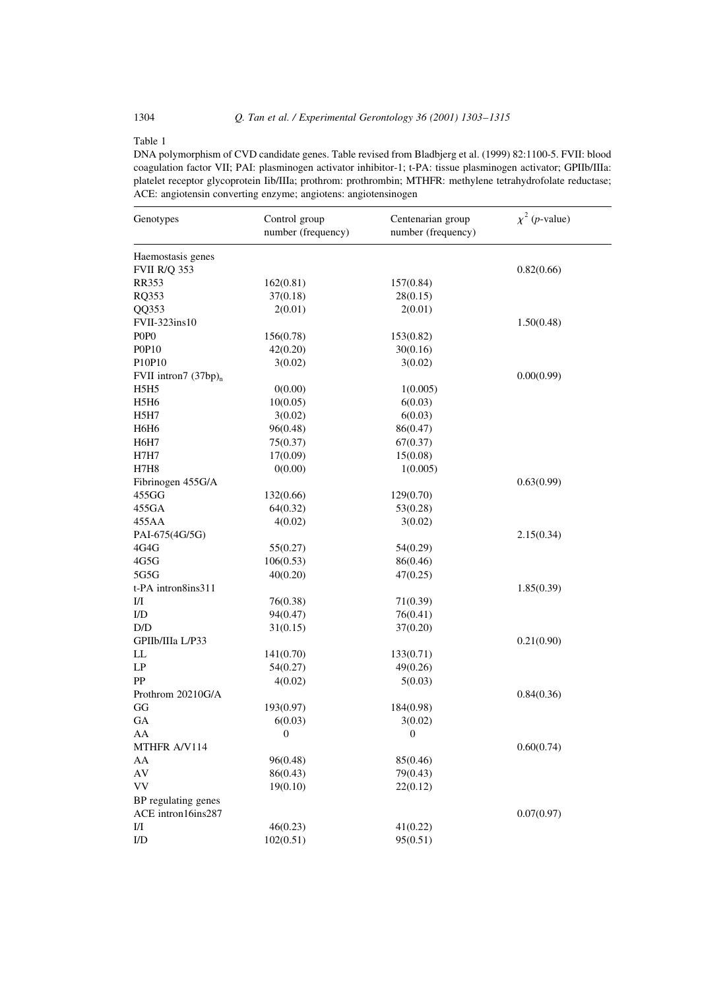#### Table 1

DNA polymorphism of CVD candidate genes. Table revised from Bladbjerg et al. (1999) 82:1100-5. FVII: blood coagulation factor VII; PAI: plasminogen activator inhibitor-1; t-PA: tissue plasminogen activator; GPIIb/IIIa: platelet receptor glycoprotein Iib/IIIa; prothrom: prothrombin; MTHFR: methylene tetrahydrofolate reductase; ACE: angiotensin converting enzyme; angiotens: angiotensinogen

| Genotypes                     | Control group<br>Centenarian group<br>number (frequency)<br>number (frequency) |                  | $\chi^2$ ( <i>p</i> -value) |  |
|-------------------------------|--------------------------------------------------------------------------------|------------------|-----------------------------|--|
| Haemostasis genes             |                                                                                |                  |                             |  |
| <b>FVII R/Q 353</b>           |                                                                                |                  | 0.82(0.66)                  |  |
| <b>RR353</b>                  | 162(0.81)                                                                      | 157(0.84)        |                             |  |
| RQ353                         | 37(0.18)                                                                       | 28(0.15)         |                             |  |
| QQ353                         | 2(0.01)                                                                        | 2(0.01)          |                             |  |
| FVII-323ins10                 |                                                                                |                  | 1.50(0.48)                  |  |
| P <sub>0</sub> P <sub>0</sub> | 156(0.78)                                                                      | 153(0.82)        |                             |  |
| <b>POP10</b>                  | 42(0.20)                                                                       | 30(0.16)         |                             |  |
| P10P10                        | 3(0.02)                                                                        | 3(0.02)          |                             |  |
| FVII intron7 $(37bp)_n$       |                                                                                |                  | 0.00(0.99)                  |  |
| H5H5                          | 0(0.00)                                                                        | 1(0.005)         |                             |  |
| H5H6                          | 10(0.05)                                                                       | 6(0.03)          |                             |  |
| H5H7                          | 3(0.02)                                                                        | 6(0.03)          |                             |  |
| <b>H6H6</b>                   | 96(0.48)                                                                       | 86(0.47)         |                             |  |
| <b>H6H7</b>                   | 75(0.37)                                                                       | 67(0.37)         |                             |  |
| <b>H7H7</b>                   | 17(0.09)                                                                       | 15(0.08)         |                             |  |
| H7H8                          | 0(0.00)                                                                        | 1(0.005)         |                             |  |
| Fibrinogen 455G/A             |                                                                                |                  | 0.63(0.99)                  |  |
| 455GG                         | 132(0.66)                                                                      | 129(0.70)        |                             |  |
| 455GA                         | 64(0.32)                                                                       | 53(0.28)         |                             |  |
| 455AA                         | 4(0.02)                                                                        | 3(0.02)          |                             |  |
| PAI-675(4G/5G)                |                                                                                |                  | 2.15(0.34)                  |  |
| 4G4G                          | 55(0.27)                                                                       | 54(0.29)         |                             |  |
| 4G5G                          | 106(0.53)                                                                      | 86(0.46)         |                             |  |
| 5G5G                          | 40(0.20)                                                                       | 47(0.25)         |                             |  |
| t-PA intron8ins311            |                                                                                |                  | 1.85(0.39)                  |  |
| I/I                           | 76(0.38)                                                                       | 71(0.39)         |                             |  |
| I/D                           | 94(0.47)                                                                       | 76(0.41)         |                             |  |
| D/D                           | 31(0.15)                                                                       | 37(0.20)         |                             |  |
| GPIIb/IIIa L/P33              |                                                                                |                  | 0.21(0.90)                  |  |
| LL                            | 141(0.70)                                                                      | 133(0.71)        |                             |  |
| LP                            | 54(0.27)                                                                       | 49(0.26)         |                             |  |
| PP                            | 4(0.02)                                                                        | 5(0.03)          |                             |  |
| Prothrom 20210G/A             |                                                                                |                  | 0.84(0.36)                  |  |
| GG                            | 193(0.97)                                                                      | 184(0.98)        |                             |  |
| GA                            | 6(0.03)                                                                        | 3(0.02)          |                             |  |
| AA                            | $\boldsymbol{0}$                                                               | $\boldsymbol{0}$ |                             |  |
| MTHFR A/V114                  |                                                                                |                  | 0.60(0.74)                  |  |
| AA                            | 96(0.48)                                                                       | 85(0.46)         |                             |  |
| AV                            | 86(0.43)                                                                       | 79(0.43)         |                             |  |
| VV                            | 19(0.10)                                                                       | 22(0.12)         |                             |  |
| BP regulating genes           |                                                                                |                  |                             |  |
| ACE intron16ins287            |                                                                                |                  | 0.07(0.97)                  |  |
| I/I                           | 46(0.23)                                                                       | 41(0.22)         |                             |  |
| I/D                           | 102(0.51)                                                                      | 95(0.51)         |                             |  |

1304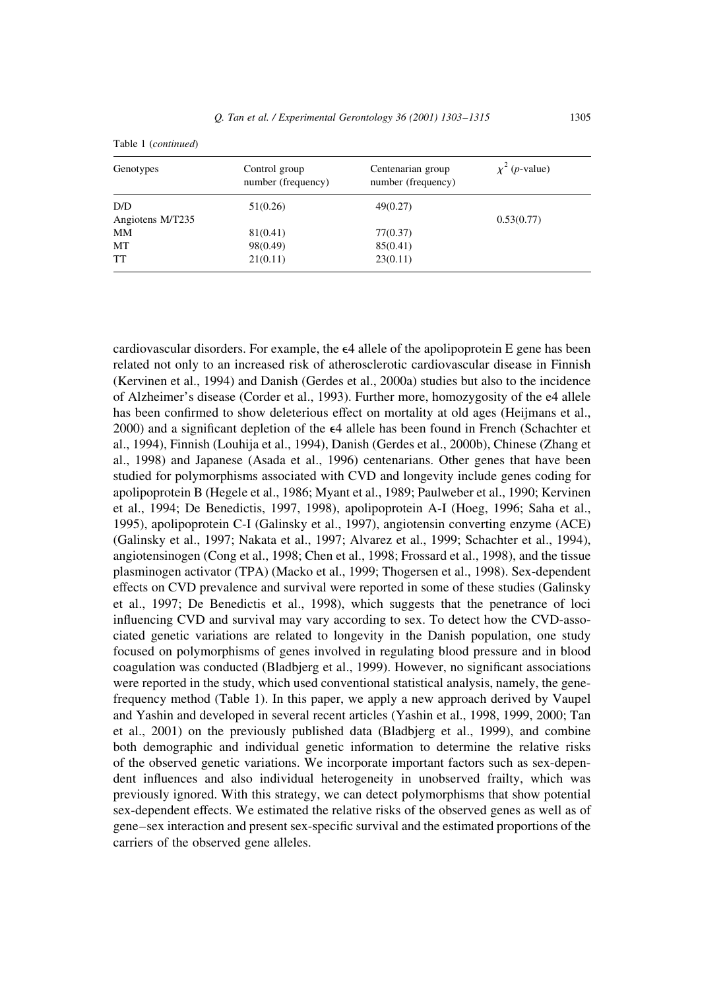|  |  | Table 1 ( <i>continued</i> ) |
|--|--|------------------------------|
|--|--|------------------------------|

| Genotypes        | Control group<br>number (frequency) | Centenarian group<br>number (frequency) | $\chi^2$ ( <i>p</i> -value) |
|------------------|-------------------------------------|-----------------------------------------|-----------------------------|
| D/D              | 51(0.26)                            | 49(0.27)                                |                             |
| Angiotens M/T235 |                                     |                                         | 0.53(0.77)                  |
| MМ               | 81(0.41)                            | 77(0.37)                                |                             |
| МT               | 98(0.49)                            | 85(0.41)                                |                             |
| TT               | 21(0.11)                            | 23(0.11)                                |                             |

cardiovascular disorders. For example, the  $\epsilon$ 4 allele of the apolipoprotein E gene has been related not only to an increased risk of atherosclerotic cardiovascular disease in Finnish (Kervinen et al., 1994) and Danish (Gerdes et al., 2000a) studies but also to the incidence of Alzheimer's disease (Corder et al., 1993). Further more, homozygosity of the e4 allele has been confirmed to show deleterious effect on mortality at old ages (Heijmans et al., 2000) and a significant depletion of the  $\epsilon$ 4 allele has been found in French (Schachter et al., 1994), Finnish (Louhija et al., 1994), Danish (Gerdes et al., 2000b), Chinese (Zhang et al., 1998) and Japanese (Asada et al., 1996) centenarians. Other genes that have been studied for polymorphisms associated with CVD and longevity include genes coding for apolipoprotein B (Hegele et al., 1986; Myant et al., 1989; Paulweber et al., 1990; Kervinen et al., 1994; De Benedictis, 1997, 1998), apolipoprotein A-I (Hoeg, 1996; Saha et al., 1995), apolipoprotein C-I (Galinsky et al., 1997), angiotensin converting enzyme (ACE) (Galinsky et al., 1997; Nakata et al., 1997; Alvarez et al., 1999; Schachter et al., 1994), angiotensinogen (Cong et al., 1998; Chen et al., 1998; Frossard et al., 1998), and the tissue plasminogen activator (TPA) (Macko et al., 1999; Thogersen et al., 1998). Sex-dependent effects on CVD prevalence and survival were reported in some of these studies (Galinsky et al., 1997; De Benedictis et al., 1998), which suggests that the penetrance of loci influencing CVD and survival may vary according to sex. To detect how the CVD-associated genetic variations are related to longevity in the Danish population, one study focused on polymorphisms of genes involved in regulating blood pressure and in blood coagulation was conducted (Bladbjerg et al., 1999). However, no significant associations were reported in the study, which used conventional statistical analysis, namely, the genefrequency method (Table 1). In this paper, we apply a new approach derived by Vaupel and Yashin and developed in several recent articles (Yashin et al., 1998, 1999, 2000; Tan et al., 2001) on the previously published data (Bladbjerg et al., 1999), and combine both demographic and individual genetic information to determine the relative risks of the observed genetic variations. We incorporate important factors such as sex-dependent influences and also individual heterogeneity in unobserved frailty, which was previously ignored. With this strategy, we can detect polymorphisms that show potential sex-dependent effects. We estimated the relative risks of the observed genes as well as of gene–sex interaction and present sex-specific survival and the estimated proportions of the carriers of the observed gene alleles.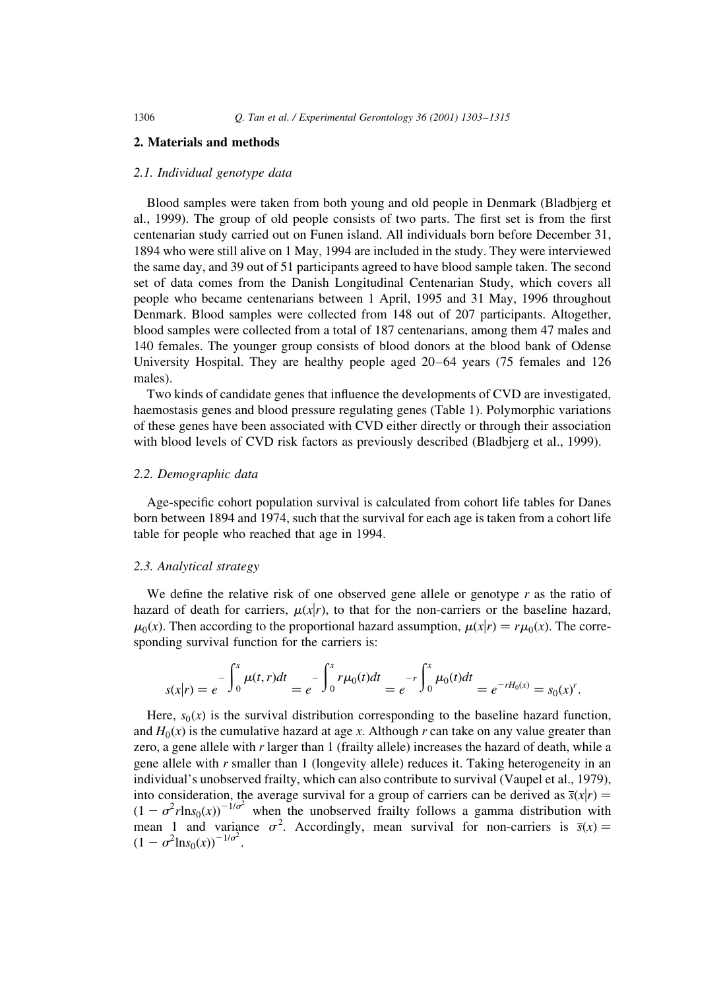### 2. Materials and methods

# 2.1. Individual genotype data

Blood samples were taken from both young and old people in Denmark (Bladbjerg et al., 1999). The group of old people consists of two parts. The first set is from the first centenarian study carried out on Funen island. All individuals born before December 31, 1894 who were still alive on 1 May, 1994 are included in the study. They were interviewed the same day, and 39 out of 51 participants agreed to have blood sample taken. The second set of data comes from the Danish Longitudinal Centenarian Study, which covers all people who became centenarians between 1 April, 1995 and 31 May, 1996 throughout Denmark. Blood samples were collected from 148 out of 207 participants. Altogether, blood samples were collected from a total of 187 centenarians, among them 47 males and 140 females. The younger group consists of blood donors at the blood bank of Odense University Hospital. They are healthy people aged 20–64 years (75 females and 126 males).

Two kinds of candidate genes that influence the developments of CVD are investigated, haemostasis genes and blood pressure regulating genes (Table 1). Polymorphic variations of these genes have been associated with CVD either directly or through their association with blood levels of CVD risk factors as previously described (Bladbjerg et al., 1999).

# 2.2. Demographic data

Age-specific cohort population survival is calculated from cohort life tables for Danes born between 1894 and 1974, such that the survival for each age is taken from a cohort life table for people who reached that age in 1994.

#### 2.3. Analytical strategy

We define the relative risk of one observed gene allele or genotype  $r$  as the ratio of hazard of death for carriers,  $\mu(x|r)$ , to that for the non-carriers or the baseline hazard,  $\mu_0(x)$ . Then according to the proportional hazard assumption,  $\mu(x|r) = r\mu_0(x)$ . The corresponding survival function for the carriers is:

$$
s(x|r) = e^{-\int_0^x \mu(t,r)dt} = e^{-\int_0^x r\mu_0(t)dt} = e^{-r\int_0^x \mu_0(t)dt} = e^{-rH_0(x)} = s_0(x)^r.
$$

Here,  $s_0(x)$  is the survival distribution corresponding to the baseline hazard function, and  $H_0(x)$  is the cumulative hazard at age x. Although r can take on any value greater than zero, a gene allele with r larger than 1 (frailty allele) increases the hazard of death, while a gene allele with  $r$  smaller than 1 (longevity allele) reduces it. Taking heterogeneity in an individual's unobserved frailty, which can also contribute to survival (Vaupel et al., 1979), into consideration, the average survival for a group of carriers can be derived as  $\overline{s}(x|r)$  =  $(1 - \sigma^2 r \ln s_0(x))^{-1/\sigma^2}$  when the unobserved frailty follows a gamma distribution with mean 1 and variance  $\sigma^2$ . Accordingly, mean survival for non-carriers is  $\bar{s}(x) =$  $(1 - \sigma^2 \ln s_0(x))^{-1/\sigma^2}$ .

1306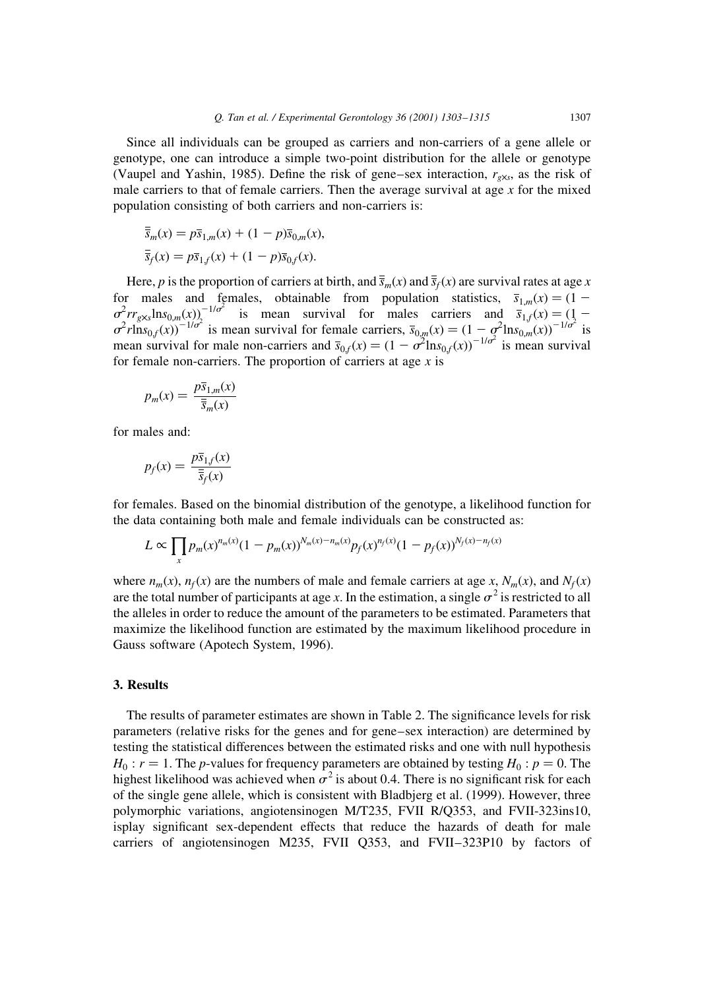Since all individuals can be grouped as carriers and non-carriers of a gene allele or genotype, one can introduce a simple two-point distribution for the allele or genotype (Vaupel and Yashin, 1985). Define the risk of gene–sex interaction,  $r_{\rm ex}$ , as the risk of male carriers to that of female carriers. Then the average survival at age  $x$  for the mixed population consisting of both carriers and non-carriers is:

$$
\overline{\overline{s}}_m(x) = p\overline{s}_{1,m}(x) + (1 - p)\overline{s}_{0,m}(x),
$$
  

$$
\overline{\overline{s}}_f(x) = p\overline{s}_{1,f}(x) + (1 - p)\overline{s}_{0,f}(x).
$$

Here, p is the proportion of carriers at birth, and  $\overline{s}_m(x)$  and  $\overline{s}_f(x)$  are survival rates at age x for males and females, obtainable from population statistics,  $\bar{s}_{1,m}(x) = (1 - \sigma^2 r r_{g} x_s \ln s_{0,m}(x))^{-1/\sigma^2}$  is mean survival for males carriers and  $\bar{s}_{1,f}(x) = (1 - \sigma^2 r \ln s_{0,f}(x))^{-1/\sigma^2}$  is mean survival for female carriers, for female non-carriers. The proportion of carriers at age  $x$  is

$$
p_m(x) = \frac{p\overline{s}_{1,m}(x)}{\overline{\overline{s}}_m(x)}
$$

for males and:

$$
p_f(x) = \frac{p\overline{s}_{1,f}(x)}{\overline{\overline{s}}_f(x)}
$$

for females. Based on the binomial distribution of the genotype, a likelihood function for the data containing both male and female individuals can be constructed as:

$$
L \propto \prod_{x} p_m(x)^{n_m(x)} (1 - p_m(x))^{N_m(x) - n_m(x)} p_f(x)^{n_f(x)} (1 - p_f(x))^{N_f(x) - n_f(x)}
$$

where  $n_m(x)$ ,  $n_f(x)$  are the numbers of male and female carriers at age x,  $N_m(x)$ , and  $N_f(x)$ are the total number of participants at age x. In the estimation, a single  $\sigma^2$  is restricted to all the alleles in order to reduce the amount of the parameters to be estimated. Parameters that maximize the likelihood function are estimated by the maximum likelihood procedure in Gauss software (Apotech System, 1996).

#### 3. Results

The results of parameter estimates are shown in Table 2. The significance levels for risk parameters (relative risks for the genes and for gene–sex interaction) are determined by testing the statistical differences between the estimated risks and one with null hypothesis  $H_0$ :  $r = 1$ . The p-values for frequency parameters are obtained by testing  $H_0$ :  $p = 0$ . The highest likelihood was achieved when  $\sigma^2$  is about 0.4. There is no significant risk for each of the single gene allele, which is consistent with Bladbjerg et al. (1999). However, three polymorphic variations, angiotensinogen M/T235, FVII R/Q353, and FVII-323ins10, isplay significant sex-dependent effects that reduce the hazards of death for male carriers of angiotensinogen M235, FVII Q353, and FVII-323P10 by factors of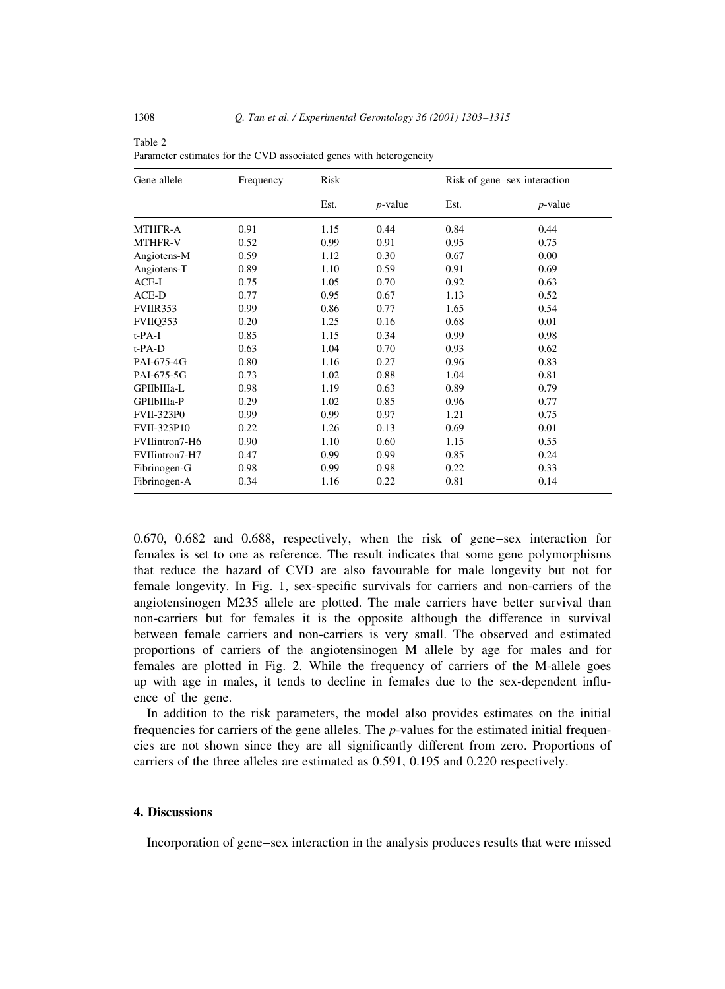| Gene allele        | Frequency | Risk |            |      | Risk of gene–sex interaction |  |
|--------------------|-----------|------|------------|------|------------------------------|--|
|                    |           | Est. | $p$ -value | Est. | $p$ -value                   |  |
| MTHFR-A            | 0.91      | 1.15 | 0.44       | 0.84 | 0.44                         |  |
| <b>MTHFR-V</b>     | 0.52      | 0.99 | 0.91       | 0.95 | 0.75                         |  |
| Angiotens-M        | 0.59      | 1.12 | 0.30       | 0.67 | 0.00                         |  |
| Angiotens-T        | 0.89      | 1.10 | 0.59       | 0.91 | 0.69                         |  |
| $ACE-I$            | 0.75      | 1.05 | 0.70       | 0.92 | 0.63                         |  |
| ACE-D              | 0.77      | 0.95 | 0.67       | 1.13 | 0.52                         |  |
| FVIIR353           | 0.99      | 0.86 | 0.77       | 1.65 | 0.54                         |  |
| FVIIQ353           | 0.20      | 1.25 | 0.16       | 0.68 | 0.01                         |  |
| $t$ -PA-I          | 0.85      | 1.15 | 0.34       | 0.99 | 0.98                         |  |
| $t$ -PA-D          | 0.63      | 1.04 | 0.70       | 0.93 | 0.62                         |  |
| PAI-675-4G         | 0.80      | 1.16 | 0.27       | 0.96 | 0.83                         |  |
| PAI-675-5G         | 0.73      | 1.02 | 0.88       | 1.04 | 0.81                         |  |
| GPIIbIIIa-L        | 0.98      | 1.19 | 0.63       | 0.89 | 0.79                         |  |
| GPIIbIIIa-P        | 0.29      | 1.02 | 0.85       | 0.96 | 0.77                         |  |
| <b>FVII-323P0</b>  | 0.99      | 0.99 | 0.97       | 1.21 | 0.75                         |  |
| <b>FVII-323P10</b> | 0.22      | 1.26 | 0.13       | 0.69 | 0.01                         |  |
| FVIIintron7-H6     | 0.90      | 1.10 | 0.60       | 1.15 | 0.55                         |  |
| FVIIintron7-H7     | 0.47      | 0.99 | 0.99       | 0.85 | 0.24                         |  |
| Fibrinogen-G       | 0.98      | 0.99 | 0.98       | 0.22 | 0.33                         |  |
| Fibrinogen-A       | 0.34      | 1.16 | 0.22       | 0.81 | 0.14                         |  |

| $10010 -$ |  |                                                                     |
|-----------|--|---------------------------------------------------------------------|
|           |  | Parameter estimates for the CVD associated genes with heterogeneity |

0.670, 0.682 and 0.688, respectively, when the risk of gene–sex interaction for females is set to one as reference. The result indicates that some gene polymorphisms that reduce the hazard of CVD are also favourable for male longevity but not for female longevity. In Fig. 1, sex-specific survivals for carriers and non-carriers of the angiotensinogen M235 allele are plotted. The male carriers have better survival than non-carriers but for females it is the opposite although the difference in survival between female carriers and non-carriers is very small. The observed and estimated proportions of carriers of the angiotensinogen M allele by age for males and for females are plotted in Fig. 2. While the frequency of carriers of the M-allele goes up with age in males, it tends to decline in females due to the sex-dependent influence of the gene.

In addition to the risk parameters, the model also provides estimates on the initial frequencies for carriers of the gene alleles. The *p*-values for the estimated initial frequencies are not shown since they are all significantly different from zero. Proportions of carriers of the three alleles are estimated as 0.591, 0.195 and 0.220 respectively.

# 4. Discussions

Incorporation of gene–sex interaction in the analysis produces results that were missed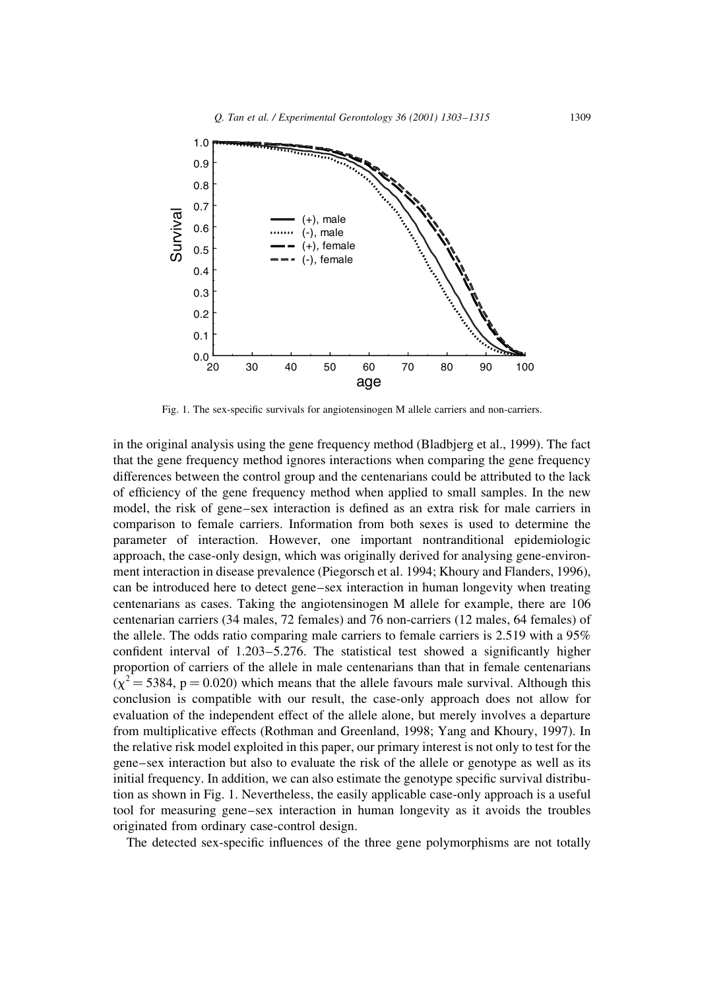

Fig. 1. The sex-specific survivals for angiotensinogen M allele carriers and non-carriers.

in the original analysis using the gene frequency method (Bladbjerg et al., 1999). The fact that the gene frequency method ignores interactions when comparing the gene frequency differences between the control group and the centenarians could be attributed to the lack of efficiency of the gene frequency method when applied to small samples. In the new model, the risk of gene–sex interaction is defined as an extra risk for male carriers in comparison to female carriers. Information from both sexes is used to determine the parameter of interaction. However, one important nontranditional epidemiologic approach, the case-only design, which was originally derived for analysing gene-environment interaction in disease prevalence (Piegorsch et al. 1994; Khoury and Flanders, 1996), can be introduced here to detect gene–sex interaction in human longevity when treating centenarians as cases. Taking the angiotensinogen M allele for example, there are 106 centenarian carriers (34 males, 72 females) and 76 non-carriers (12 males, 64 females) of the allele. The odds ratio comparing male carriers to female carriers is 2.519 with a 95% confident interval of 1.203–5.276. The statistical test showed a significantly higher proportion of carriers of the allele in male centenarians than that in female centenarians  $(\chi^2 = 5384, p = 0.020)$  which means that the allele favours male survival. Although this conclusion is compatible with our result, the case-only approach does not allow for evaluation of the independent effect of the allele alone, but merely involves a departure from multiplicative effects (Rothman and Greenland, 1998; Yang and Khoury, 1997). In the relative risk model exploited in this paper, our primary interest is not only to test for the gene–sex interaction but also to evaluate the risk of the allele or genotype as well as its initial frequency. In addition, we can also estimate the genotype specific survival distribution as shown in Fig. 1. Nevertheless, the easily applicable case-only approach is a useful tool for measuring gene–sex interaction in human longevity as it avoids the troubles originated from ordinary case-control design.

The detected sex-specific influences of the three gene polymorphisms are not totally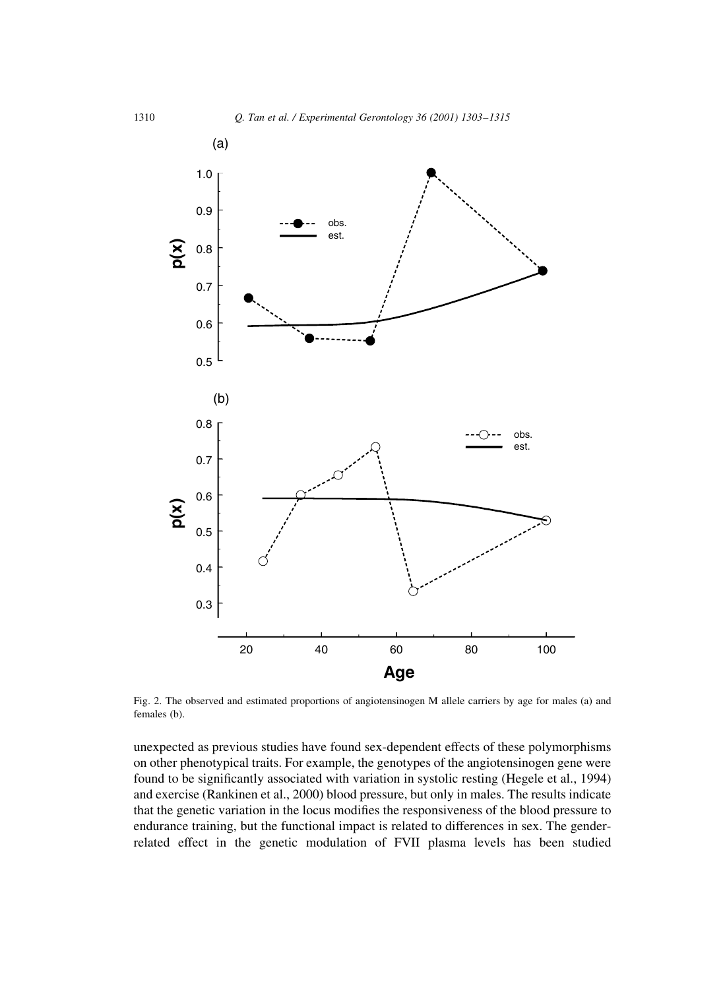

Fig. 2. The observed and estimated proportions of angiotensinogen M allele carriers by age for males (a) and females (b).

unexpected as previous studies have found sex-dependent effects of these polymorphisms on other phenotypical traits. For example, the genotypes of the angiotensinogen gene were found to be significantly associated with variation in systolic resting (Hegele et al., 1994) and exercise (Rankinen et al., 2000) blood pressure, but only in males. The results indicate that the genetic variation in the locus modifies the responsiveness of the blood pressure to endurance training, but the functional impact is related to differences in sex. The genderrelated effect in the genetic modulation of FVII plasma levels has been studied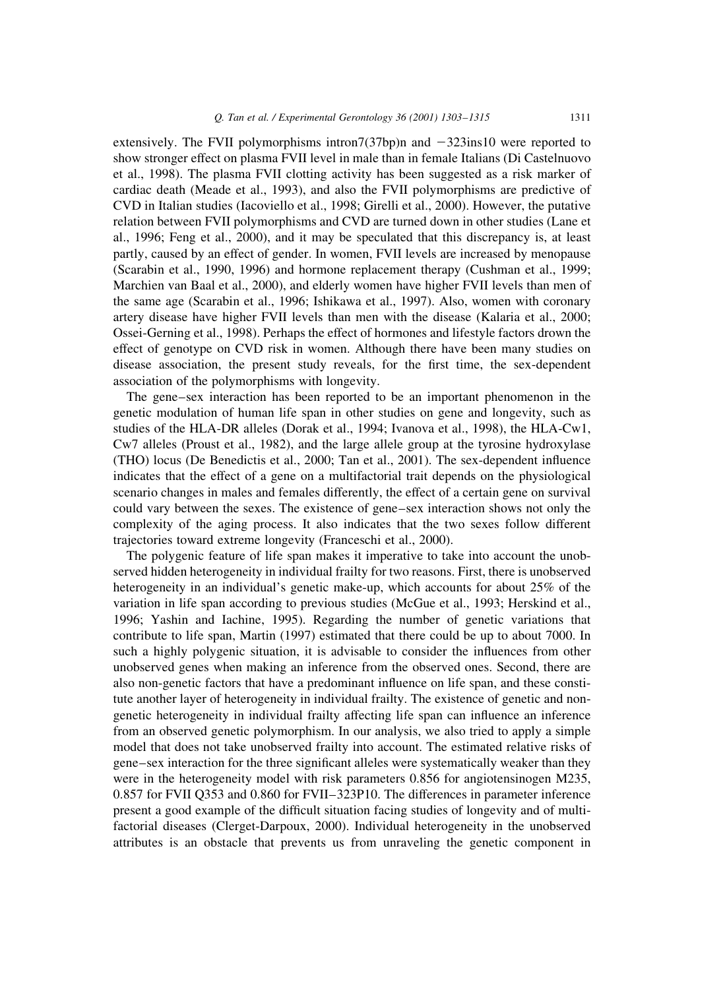extensively. The FVII polymorphisms intron7(37bp)n and  $-323$ ins10 were reported to show stronger effect on plasma FVII level in male than in female Italians (Di Castelnuovo et al., 1998). The plasma FVII clotting activity has been suggested as a risk marker of cardiac death (Meade et al., 1993), and also the FVII polymorphisms are predictive of CVD in Italian studies (Iacoviello et al., 1998; Girelli et al., 2000). However, the putative relation between FVII polymorphisms and CVD are turned down in other studies (Lane et al., 1996; Feng et al., 2000), and it may be speculated that this discrepancy is, at least partly, caused by an effect of gender. In women, FVII levels are increased by menopause (Scarabin et al., 1990, 1996) and hormone replacement therapy (Cushman et al., 1999; Marchien van Baal et al., 2000), and elderly women have higher FVII levels than men of the same age (Scarabin et al., 1996; Ishikawa et al., 1997). Also, women with coronary artery disease have higher FVII levels than men with the disease (Kalaria et al., 2000; Ossei-Gerning et al., 1998). Perhaps the effect of hormones and lifestyle factors drown the effect of genotype on CVD risk in women. Although there have been many studies on disease association, the present study reveals, for the first time, the sex-dependent association of the polymorphisms with longevity.

The gene–sex interaction has been reported to be an important phenomenon in the genetic modulation of human life span in other studies on gene and longevity, such as studies of the HLA-DR alleles (Dorak et al., 1994; Ivanova et al., 1998), the HLA-Cw1, Cw7 alleles (Proust et al., 1982), and the large allele group at the tyrosine hydroxylase (THO) locus (De Benedictis et al., 2000; Tan et al., 2001). The sex-dependent influence indicates that the effect of a gene on a multifactorial trait depends on the physiological scenario changes in males and females differently, the effect of a certain gene on survival could vary between the sexes. The existence of gene–sex interaction shows not only the complexity of the aging process. It also indicates that the two sexes follow different trajectories toward extreme longevity (Franceschi et al., 2000).

The polygenic feature of life span makes it imperative to take into account the unobserved hidden heterogeneity in individual frailty for two reasons. First, there is unobserved heterogeneity in an individual's genetic make-up, which accounts for about 25% of the variation in life span according to previous studies (McGue et al., 1993; Herskind et al., 1996; Yashin and Iachine, 1995). Regarding the number of genetic variations that contribute to life span, Martin (1997) estimated that there could be up to about 7000. In such a highly polygenic situation, it is advisable to consider the influences from other unobserved genes when making an inference from the observed ones. Second, there are also non-genetic factors that have a predominant influence on life span, and these constitute another layer of heterogeneity in individual frailty. The existence of genetic and nongenetic heterogeneity in individual frailty affecting life span can influence an inference from an observed genetic polymorphism. In our analysis, we also tried to apply a simple model that does not take unobserved frailty into account. The estimated relative risks of gene–sex interaction for the three significant alleles were systematically weaker than they were in the heterogeneity model with risk parameters 0.856 for angiotensinogen M235, 0.857 for FVII Q353 and 0.860 for FVII–323P10. The differences in parameter inference present a good example of the difficult situation facing studies of longevity and of multifactorial diseases (Clerget-Darpoux, 2000). Individual heterogeneity in the unobserved attributes is an obstacle that prevents us from unraveling the genetic component in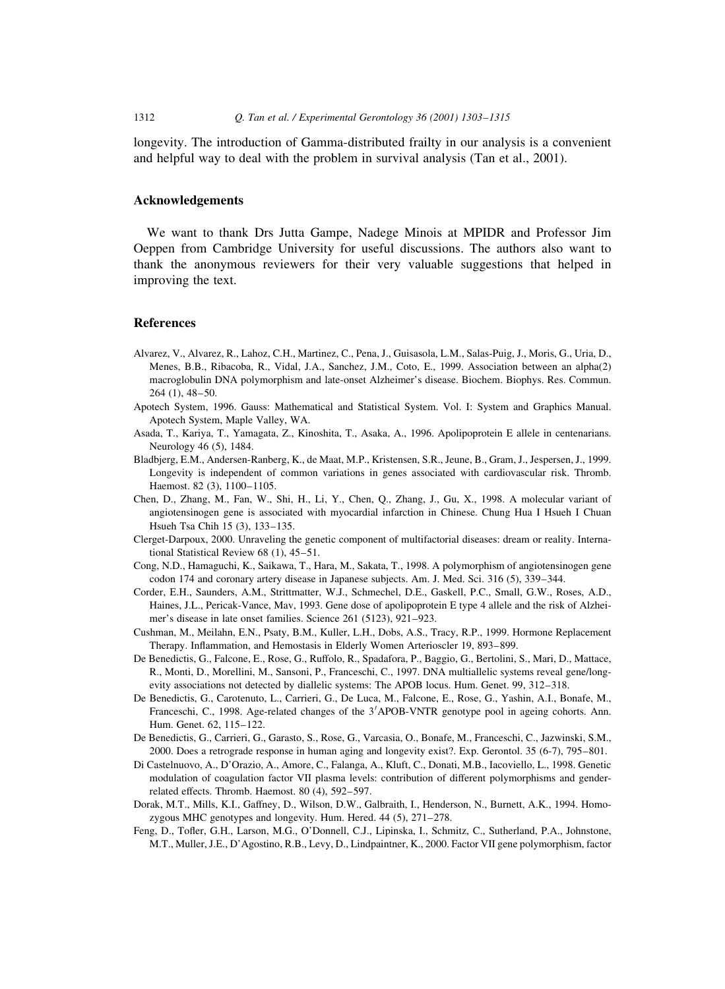longevity. The introduction of Gamma-distributed frailty in our analysis is a convenient and helpful way to deal with the problem in survival analysis (Tan et al., 2001).

# **Acknowledgements**

We want to thank Drs Jutta Gampe, Nadege Minois at MPIDR and Professor Jim Oeppen from Cambridge University for useful discussions. The authors also want to thank the anonymous reviewers for their very valuable suggestions that helped in improving the text.

#### **References**

- Alvarez, V., Alvarez, R., Lahoz, C.H., Martinez, C., Pena, J., Guisasola, L.M., Salas-Puig, J., Moris, G., Uria, D., Menes, B.B., Ribacoba, R., Vidal, J.A., Sanchez, J.M., Coto, E., 1999. Association between an alpha(2) macroglobulin DNA polymorphism and late-onset Alzheimer's disease. Biochem. Biophys. Res. Commun.  $264$  (1),  $48-50$ .
- Apotech System, 1996. Gauss: Mathematical and Statistical System. Vol. I: System and Graphics Manual. Apotech System, Maple Valley, WA.
- Asada, T., Kariya, T., Yamagata, Z., Kinoshita, T., Asaka, A., 1996. Apolipoprotein E allele in centenarians. Neurology 46 (5), 1484.
- Bladbjerg, E.M., Andersen-Ranberg, K., de Maat, M.P., Kristensen, S.R., Jeune, B., Gram, J., Jespersen, J., 1999. Longevity is independent of common variations in genes associated with cardiovascular risk. Thromb. Haemost. 82 (3), 1100-1105.
- Chen, D., Zhang, M., Fan, W., Shi, H., Li, Y., Chen, Q., Zhang, J., Gu, X., 1998. A molecular variant of angiotensinogen gene is associated with myocardial infarction in Chinese. Chung Hua I Hsueh I Chuan Hsueh Tsa Chih 15 (3), 133-135.
- Clerget-Darpoux, 2000. Unraveling the genetic component of multifactorial diseases: dream or reality. International Statistical Review  $68$  (1),  $45-51$ .
- Cong, N.D., Hamaguchi, K., Saikawa, T., Hara, M., Sakata, T., 1998. A polymorphism of angiotensinogen gene codon 174 and coronary artery disease in Japanese subjects. Am. J. Med. Sci. 316 (5), 339-344.
- Corder, E.H., Saunders, A.M., Strittmatter, W.J., Schmechel, D.E., Gaskell, P.C., Small, G.W., Roses, A.D., Haines, J.L., Pericak-Vance, Mav, 1993. Gene dose of apolipoprotein E type 4 allele and the risk of Alzheimer's disease in late onset families. Science 261 (5123), 921-923.
- Cushman, M., Meilahn, E.N., Psaty, B.M., Kuller, L.H., Dobs, A.S., Tracy, R.P., 1999. Hormone Replacement Therapy. Inflammation, and Hemostasis in Elderly Women Arterioscler 19, 893-899.
- De Benedictis, G., Falcone, E., Rose, G., Ruffolo, R., Spadafora, P., Baggio, G., Bertolini, S., Mari, D., Mattace, R., Monti, D., Morellini, M., Sansoni, P., Franceschi, C., 1997. DNA multiallelic systems reveal gene/longevity associations not detected by diallelic systems: The APOB locus. Hum. Genet. 99, 312-318.
- De Benedictis, G., Carotenuto, L., Carrieri, G., De Luca, M., Falcone, E., Rose, G., Yashin, A.I., Bonafe, M., Franceschi, C., 1998. Age-related changes of the 3'APOB-VNTR genotype pool in ageing cohorts. Ann. Hum. Genet. 62, 115-122.
- De Benedictis, G., Carrieri, G., Garasto, S., Rose, G., Varcasia, O., Bonafe, M., Franceschi, C., Jazwinski, S.M., 2000. Does a retrograde response in human aging and longevity exist?. Exp. Gerontol. 35 (6-7), 795–801.
- Di Castelnuovo, A., D'Orazio, A., Amore, C., Falanga, A., Kluft, C., Donati, M.B., Iacoviello, L., 1998. Genetic modulation of coagulation factor VII plasma levels: contribution of different polymorphisms and genderrelated effects. Thromb. Haemost. 80 (4), 592-597.
- Dorak, M.T., Mills, K.I., Gaffney, D., Wilson, D.W., Galbraith, I., Henderson, N., Burnett, A.K., 1994. Homozygous MHC genotypes and longevity. Hum. Hered. 44 (5), 271-278.
- Feng, D., Tofler, G.H., Larson, M.G., O'Donnell, C.J., Lipinska, I., Schmitz, C., Sutherland, P.A., Johnstone, M.T., Muller, J.E., D'Agostino, R.B., Levy, D., Lindpaintner, K., 2000. Factor VII gene polymorphism, factor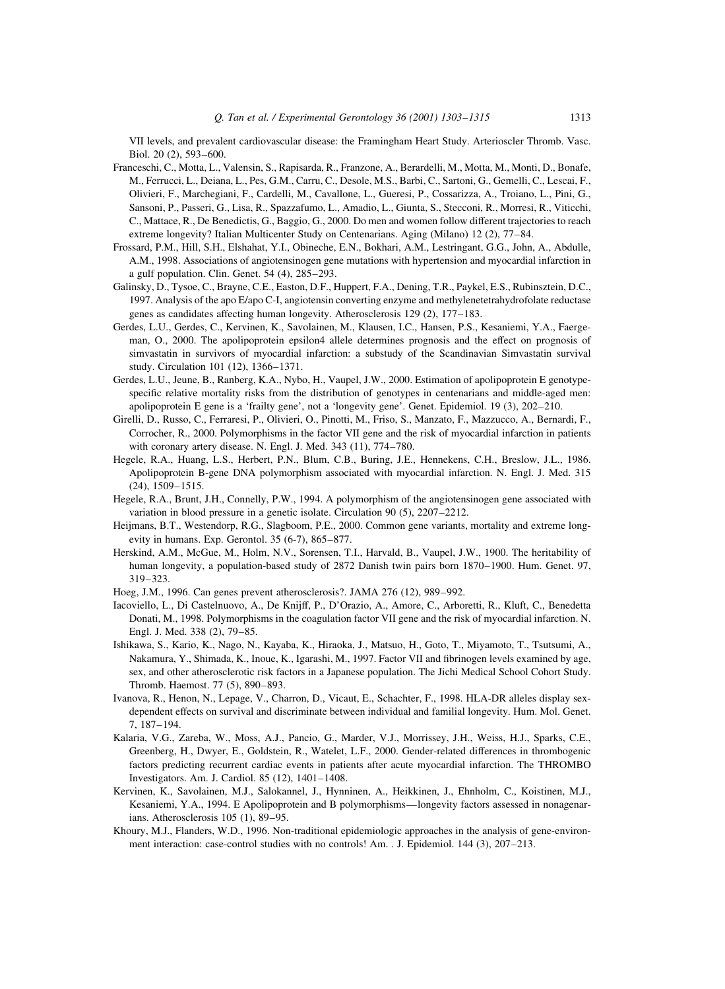VII levels, and prevalent cardiovascular disease: the Framingham Heart Study. Arterioscler Thromb. Vasc. Biol. 20 (2), 593-600.

- Franceschi, C., Motta, L., Valensin, S., Rapisarda, R., Franzone, A., Berardelli, M., Motta, M., Monti, D., Bonafe, M., Ferrucci, L., Deiana, L., Pes, G.M., Carru, C., Desole, M.S., Barbi, C., Sartoni, G., Gemelli, C., Lescai, F., Olivieri, F., Marchegiani, F., Cardelli, M., Cavallone, L., Gueresi, P., Cossarizza, A., Troiano, L., Pini, G., Sansoni, P., Passeri, G., Lisa, R., Spazzafumo, L., Amadio, L., Giunta, S., Stecconi, R., Morresi, R., Viticchi, C., Mattace, R., De Benedictis, G., Baggio, G., 2000. Do men and women follow different trajectories to reach extreme longevity? Italian Multicenter Study on Centenarians. Aging (Milano) 12 (2), 77–84.
- Frossard, P.M., Hill, S.H., Elshahat, Y.I., Obineche, E.N., Bokhari, A.M., Lestringant, G.G., John, A., Abdulle, A.M., 1998. Associations of angiotensinogen gene mutations with hypertension and myocardial infarction in a gulf population. Clin. Genet.  $54$  (4),  $285-293$ .
- Galinsky, D., Tysoe, C., Brayne, C.E., Easton, D.F., Huppert, F.A., Dening, T.R., Paykel, E.S., Rubinsztein, D.C., 1997. Analysis of the apo E/apo C-I, angiotensin converting enzyme and methylenetetrahydrofolate reductase genes as candidates affecting human longevity. Atherosclerosis 129 (2), 177–183.
- Gerdes, L.U., Gerdes, C., Kervinen, K., Savolainen, M., Klausen, I.C., Hansen, P.S., Kesaniemi, Y.A., Faergeman, O., 2000. The apolipoprotein epsilon4 allele determines prognosis and the effect on prognosis of simvastatin in survivors of myocardial infarction: a substudy of the Scandinavian Simvastatin survival study. Circulation 101 (12), 1366-1371.
- Gerdes, L.U., Jeune, B., Ranberg, K.A., Nybo, H., Vaupel, J.W., 2000. Estimation of apolipoprotein E genotypespecific relative mortality risks from the distribution of genotypes in centenarians and middle-aged men: apolipoprotein E gene is a 'frailty gene', not a 'longevity gene'. Genet. Epidemiol. 19 (3), 202-210.
- Girelli, D., Russo, C., Ferraresi, P., Olivieri, O., Pinotti, M., Friso, S., Manzato, F., Mazzucco, A., Bernardi, F., Corrocher, R., 2000. Polymorphisms in the factor VII gene and the risk of myocardial infarction in patients with coronary artery disease. N. Engl. J. Med. 343 (11), 774-780.
- Hegele, R.A., Huang, L.S., Herbert, P.N., Blum, C.B., Buring, J.E., Hennekens, C.H., Breslow, J.L., 1986. Apolipoprotein B-gene DNA polymorphism associated with myocardial infarction. N. Engl. J. Med. 315  $(24)$ , 1509-1515.
- Hegele, R.A., Brunt, J.H., Connelly, P.W., 1994. A polymorphism of the angiotensinogen gene associated with variation in blood pressure in a genetic isolate. Circulation 90 (5), 2207-2212.
- Heijmans, B.T., Westendorp, R.G., Slagboom, P.E., 2000. Common gene variants, mortality and extreme longevity in humans. Exp. Gerontol. 35 (6-7), 865-877.
- Herskind, A.M., McGue, M., Holm, N.V., Sorensen, T.I., Harvald, B., Vaupel, J.W., 1900. The heritability of human longevity, a population-based study of 2872 Danish twin pairs born 1870–1900. Hum. Genet. 97,  $319 - 323$ .
- Hoeg, J.M., 1996. Can genes prevent atherosclerosis?. JAMA 276 (12), 989-992.
- Iacoviello, L., Di Castelnuovo, A., De Knijff, P., D'Orazio, A., Amore, C., Arboretti, R., Kluft, C., Benedetta Donati, M., 1998. Polymorphisms in the coagulation factor VII gene and the risk of myocardial infarction. N. Engl. J. Med. 338 (2), 79-85.
- Ishikawa, S., Kario, K., Nago, N., Kayaba, K., Hiraoka, J., Matsuo, H., Goto, T., Miyamoto, T., Tsutsumi, A., Nakamura, Y., Shimada, K., Inoue, K., Igarashi, M., 1997. Factor VII and fibrinogen levels examined by age, sex, and other atherosclerotic risk factors in a Japanese population. The Jichi Medical School Cohort Study. Thromb. Haemost. 77 (5), 890-893.
- Ivanova, R., Henon, N., Lepage, V., Charron, D., Vicaut, E., Schachter, F., 1998. HLA-DR alleles display sexdependent effects on survival and discriminate between individual and familial longevity. Hum. Mol. Genet. 7.187-194.
- Kalaria, V.G., Zareba, W., Moss, A.J., Pancio, G., Marder, V.J., Morrissey, J.H., Weiss, H.J., Sparks, C.E., Greenberg, H., Dwyer, E., Goldstein, R., Watelet, L.F., 2000. Gender-related differences in thrombogenic factors predicting recurrent cardiac events in patients after acute myocardial infarction. The THROMBO Investigators. Am. J. Cardiol. 85 (12), 1401-1408.
- Kervinen, K., Savolainen, M.J., Salokannel, J., Hynninen, A., Heikkinen, J., Ehnholm, C., Koistinen, M.J., Kesaniemi, Y.A., 1994. E Apolipoprotein and B polymorphisms—longevity factors assessed in nonagenarians. Atherosclerosis 105 (1), 89-95.
- Khoury, M.J., Flanders, W.D., 1996. Non-traditional epidemiologic approaches in the analysis of gene-environment interaction: case-control studies with no controls! Am. J. Epidemiol. 144 (3), 207-213.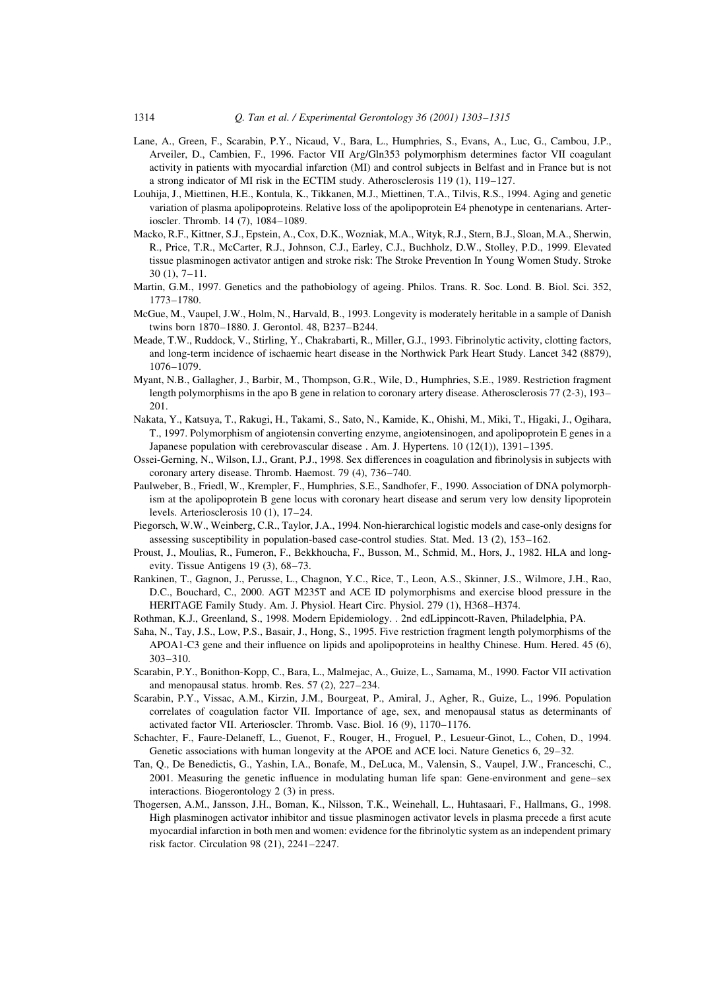- Lane, A., Green, F., Scarabin, P.Y., Nicaud, V., Bara, L., Humphries, S., Evans, A., Luc, G., Cambou, J.P., Arveiler, D., Cambien, F., 1996. Factor VII Arg/Gln353 polymorphism determines factor VII coagulant activity in patients with myocardial infarction (MI) and control subjects in Belfast and in France but is not a strong indicator of MI risk in the ECTIM study. Atherosclerosis 119 (1), 119–127.
- Louhija, J., Miettinen, H.E., Kontula, K., Tikkanen, M.J., Miettinen, T.A., Tilvis, R.S., 1994. Aging and genetic variation of plasma apolipoproteins. Relative loss of the apolipoprotein E4 phenotype in centenarians. Arterioscler. Thromb. 14 (7), 1084-1089.
- Macko, R.F., Kittner, S.J., Epstein, A., Cox, D.K., Wozniak, M.A., Wityk, R.J., Stern, B.J., Sloan, M.A., Sherwin, R., Price, T.R., McCarter, R.J., Johnson, C.J., Earley, C.J., Buchholz, D.W., Stolley, P.D., 1999. Elevated tissue plasminogen activator antigen and stroke risk: The Stroke Prevention In Young Women Study. Stroke  $30(1), 7-11.$
- Martin, G.M., 1997. Genetics and the pathobiology of ageing. Philos. Trans. R. Soc. Lond. B. Biol. Sci. 352, 1773-1780.
- McGue, M., Vaupel, J.W., Holm, N., Harvald, B., 1993. Longevity is moderately heritable in a sample of Danish twins born 1870-1880. J. Gerontol. 48, B237-B244.
- Meade, T.W., Ruddock, V., Stirling, Y., Chakrabarti, R., Miller, G.J., 1993. Fibrinolytic activity, clotting factors, and long-term incidence of ischaemic heart disease in the Northwick Park Heart Study. Lancet 342 (8879), 1076-1079
- Myant, N.B., Gallagher, J., Barbir, M., Thompson, G.R., Wile, D., Humphries, S.E., 1989. Restriction fragment length polymorphisms in the apo B gene in relation to coronary artery disease. Atherosclerosis 77 (2-3), 193– 201
- Nakata, Y., Katsuya, T., Rakugi, H., Takami, S., Sato, N., Kamide, K., Ohishi, M., Miki, T., Higaki, J., Ogihara, T., 1997. Polymorphism of angiotensin converting enzyme, angiotensinogen, and apolipoprotein E genes in a Japanese population with cerebrovascular disease . Am. J. Hypertens. 10 (12(1)), 1391-1395.
- Ossei-Gerning, N., Wilson, I.J., Grant, P.J., 1998. Sex differences in coagulation and fibrinolysis in subjects with coronary artery disease. Thromb. Haemost. 79 (4), 736-740.
- Paulweber, B., Friedl, W., Krempler, F., Humphries, S.E., Sandhofer, F., 1990. Association of DNA polymorphism at the apolipoprotein B gene locus with coronary heart disease and serum very low density lipoprotein levels. Arteriosclerosis 10 (1), 17-24.
- Piegorsch, W.W., Weinberg, C.R., Taylor, J.A., 1994. Non-hierarchical logistic models and case-only designs for assessing susceptibility in population-based case-control studies. Stat. Med. 13 (2), 153-162.
- Proust, J., Moulias, R., Fumeron, F., Bekkhoucha, F., Busson, M., Schmid, M., Hors, J., 1982. HLA and longevity. Tissue Antigens  $19$  (3),  $68-73$ .
- Rankinen, T., Gagnon, J., Perusse, L., Chagnon, Y.C., Rice, T., Leon, A.S., Skinner, J.S., Wilmore, J.H., Rao, D.C., Bouchard, C., 2000. AGT M235T and ACE ID polymorphisms and exercise blood pressure in the HERITAGE Family Study. Am. J. Physiol. Heart Circ. Physiol. 279 (1), H368-H374.
- Rothman, K.J., Greenland, S., 1998. Modern Epidemiology. . 2nd edLippincott-Raven, Philadelphia, PA.
- Saha, N., Tay, J.S., Low, P.S., Basair, J., Hong, S., 1995. Five restriction fragment length polymorphisms of the APOA1-C3 gene and their influence on lipids and apolipoproteins in healthy Chinese. Hum. Hered. 45 (6),  $303 - 310.$
- Scarabin, P.Y., Bonithon-Kopp, C., Bara, L., Malmejac, A., Guize, L., Samama, M., 1990. Factor VII activation and menopausal status. hromb. Res. 57 (2), 227-234.
- Scarabin, P.Y., Vissac, A.M., Kirzin, J.M., Bourgeat, P., Amiral, J., Agher, R., Guize, L., 1996. Population correlates of coagulation factor VII. Importance of age, sex, and menopausal status as determinants of activated factor VII. Arterioscler. Thromb. Vasc. Biol. 16 (9), 1170-1176.
- Schachter, F., Faure-Delaneff, L., Guenot, F., Rouger, H., Froguel, P., Lesueur-Ginot, L., Cohen, D., 1994. Genetic associations with human longevity at the APOE and ACE loci. Nature Genetics 6, 29–32.
- Tan, Q., De Benedictis, G., Yashin, I.A., Bonafe, M., DeLuca, M., Valensin, S., Vaupel, J.W., Franceschi, C., 2001. Measuring the genetic influence in modulating human life span: Gene-environment and gene-sex interactions. Biogerontology 2 (3) in press.
- Thogersen, A.M., Jansson, J.H., Boman, K., Nilsson, T.K., Weinehall, L., Huhtasaari, F., Hallmans, G., 1998. High plasminogen activator inhibitor and tissue plasminogen activator levels in plasma precede a first acute myocardial infarction in both men and women: evidence for the fibrinolytic system as an independent primary risk factor. Circulation 98 (21), 2241-2247.